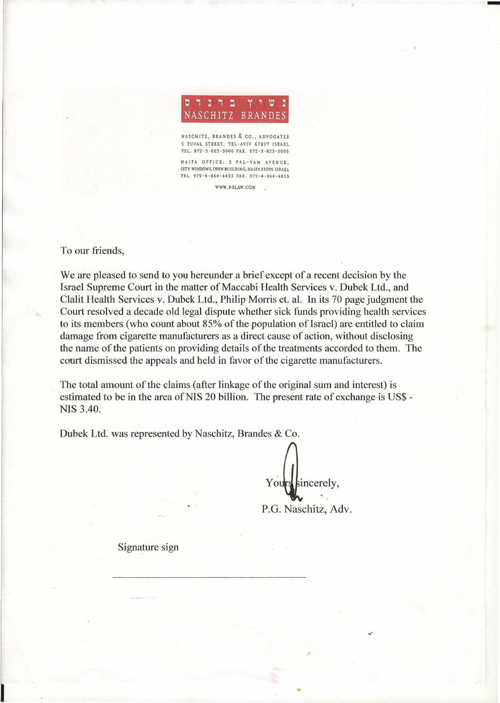

-

NASCHITZ, BRANDES & CO., ADVOCATES 5 TUVAL STREET, TEL-AVIV 67897 ISRAEL TEL. 972-3-623-5000 FAX. 972-3-623-5005

HAifA OFFICE: 2 PAL-YAM AVENUE, CITY WINDOWS, OREN BUILDING, HAIFA 33095 ISRAEL TEL. 972-4-864-4433 FAX. 972-4-864-4833 WWW.NBLAW.COM

To our friends,

We are pleased to send to you hereunder a brief except of a recent decision by the Israel Supreme Court in the matter of Maccabi Health Services *y.* Dubek Ltd., and Clalit Health Services v. Dubek Ltd., Philip Morris et. al. In its 70 page judgment the Court resolved a decade old legal dispute whether sick funds providing health services to its members (who count about 85% of the population of Israel) are entitled to claim damage from cigarette manufacturers as a direct cause of action, without disclosing the name of the patients on providing details of the treatments accorded to them. The court dismissed the appeals and held in favor of the cigarette manufacturers.

The total amount of the claims (after linkage of the original sum and interest) is estimated to be in the area of NIS 20 billion. The present rate of exchange is US\$ -NIS 3.40.

Dubek Ltd. was represented by Naschitz, Brandes & Co.

Yours sincerely,

P.G. Naschitz, Adv.

Signature sign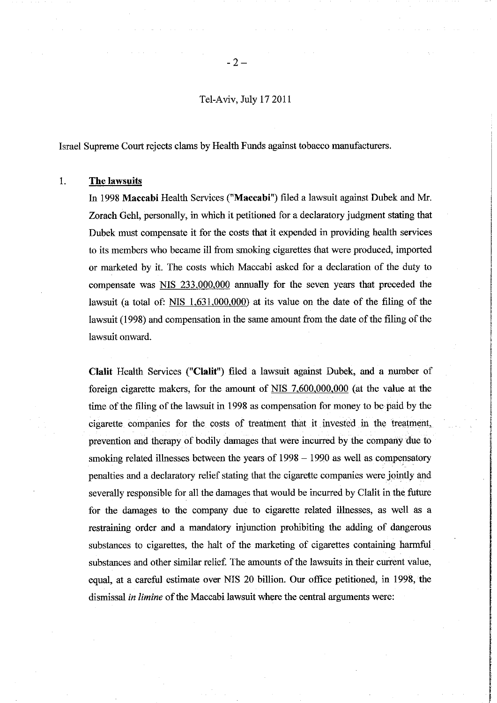Tel-Aviv, July 17 2011

Israel Supreme Court rejects clams by Health Funds against tobacco manufacturers.

## 1. The lawsuits

In 1998 Maccabi Health Services ("Maccabi") filed a lawsuit against Dubek and Mr. Zorach Gehl, personally, in which it petitioned for a declaratory judgment stating that Dubek must compensate it for the costs that it expended in providing health services to its members who became ill from smoking cigarettes that were produced, imported or marketed by it. The costs which Maccabi asked for a declaration of the duty to compensate was NIS 233,000,000 annually for the seven years that preceded the lawsuit (a total of:  $NIS$  1,631,000,000) at its value on the date of the filing of the lawsuit (1998) and compensation in the same amount from the date of the filing of the lawsuit onward.

Clalit Health Services ("Clalit") filed a lawsuit against Dubek, and a number of foreign cigarette makers, for the amount of NIS 7,600,000,000 (at the value at the time of the filing of the lawsuit in 1998 as compensation for money to be paid by the cigarette companies for the costs of treatment that it invested in the treatment, prevention and therapy of bodily damages that were incurred by the company due to smoking related illnesses between the years of  $1998 - 1990$  as well as compensatory penalties and a declaratory relief stating that the cigarette companies were jointly and severally responsible for all the damages that would be incurred by Clalit in the future for the damages to the company due to cigarette related illnesses, as well as a restraining order and a mandatory injunction prohibiting the adding of dangerous substances to cigarettes, the halt of the marketing of cigarettes containing harmful substances and other similar relief. The amounts of the lawsuits in their current value, equal, at a careful estimate over NIS 20 billion. Our office petitioned, in 1998, the dismissal in limine of the Maccabi lawsuit where the central arguments were: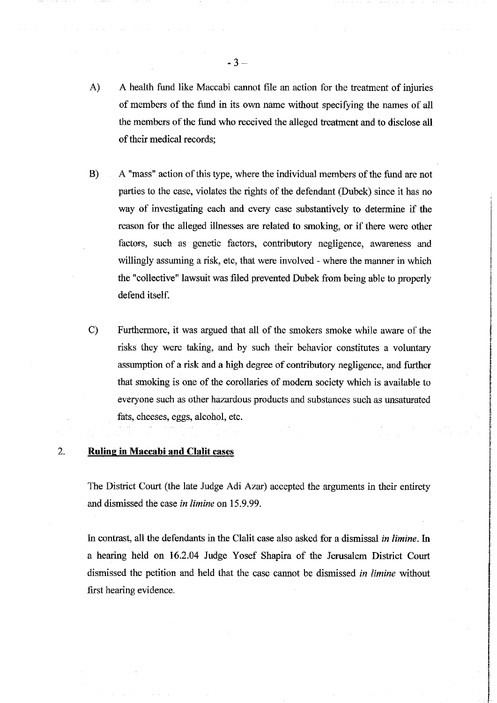- $\mathbf{A}$ A health fund like Maccabi cannot file an action for the treatment of injuries of members of the fund in its own name without specifying the names of all the members of the fund who received the alleged treatment and to disclose all of their medical records;
- $B)$ A "mass" action of this type, where the individual members of the fund are not parties to the case, violates the rights of the defendant (Dubek) since it has no way of investigating each and every case substantively to determine if the reason for the alleged illnesses are related to smoking, or if there were other factors, such as genetic factors, contributory negligence, awareness and willingly assuming a risk, etc, that were involved - where the manner in which the "collective" lawsuit was filed prevented Dubek from being able to properly defend itself.
- $\mathcal{C}$ Furthermore, it was argued that all of the smokers smoke while aware of the risks they were taking, and by such their behavior constitutes a voluntary assumption of a risk and a high degree of contributory negligence, and further that smoking is one of the corollaries of modern society which is available to everyone such as other hazardous products and substances such as unsaturated fats, cheeses, eggs, alcohol, etc.

## 2. **Ruling in Maccabi and Clalit cases**

The District Court (the late Judge Adi Azar) accepted the arguments in their entirety and dismissed the case in limine on 15.9.99.

In contrast, all the defendants in the Clalit case also asked for a dismissal in limine. In a hearing held on 16.2.04 Judge Yosef Shapira of the Jerusalem District Court dismissed the petition and held that the case cannot be dismissed in limine without first hearing evidence.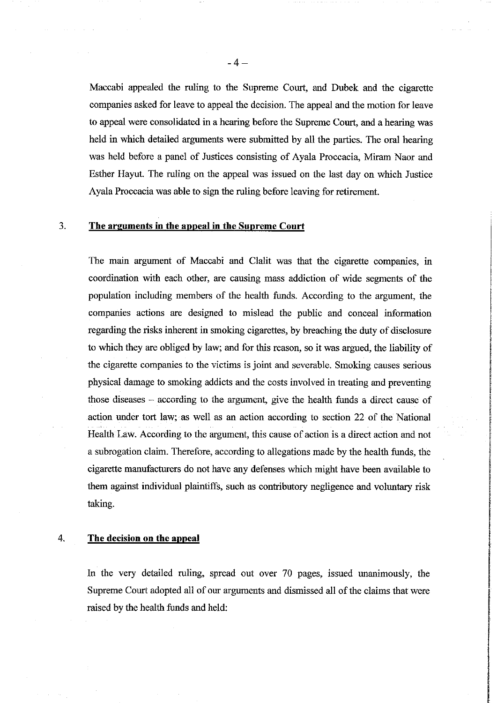Maccabi appealed the ruling to the Supreme Court, and Dubek and the cigarette companies asked for leave to appeal the decision. The appeal and the motion for leave to appeal were consolidated in a hearing before the Supreme Court, and a hearing was held in which detailed arguments were submitted by all the parties. The oral hearing was held before a panel of Justices consisting of Ayala Proceacia, Miram Naor and Esther Hayut. The ruling on the appeal was issued on the last day on which Justice Ayala Proceacia was able to sign the ruling before leaving for retirement.

#### 3. The arguments in the appeal in the Supreme Court

The main argument of Maccabi and Clalit was that the cigarette companies, in coordination with each other, are causing mass addiction of wide segments of the population including members of the health funds. According to the argument, the companies actions are designed to mislead the public and conceal information regarding the risks inherent in smoking cigarettes, by breaching the duty of disclosure to which they are obliged by law; and for this reason, so it was argued, the liability of the cigarette companies to the victims is joint and severable. Smoking causes serious physical damage to smoking addicts and the costs involved in treating and preventing those diseases – according to the argument, give the health funds a direct cause of action under tort law; as well as an action according to section 22 of the National Health Law. According to the argument, this cause of action is a direct action and not a subrogation claim. Therefore, according to allegations made by the health funds, the cigarette manufacturers do not have any defenses which might have been available to them against individual plaintiffs, such as contributory negligence and voluntary risk taking.

# 4. The decision on the appeal

In the very detailed ruling, spread out over 70 pages, issued unanimously, the Supreme Court adopted all of our arguments and dismissed all of the claims that were raised by the health funds and held: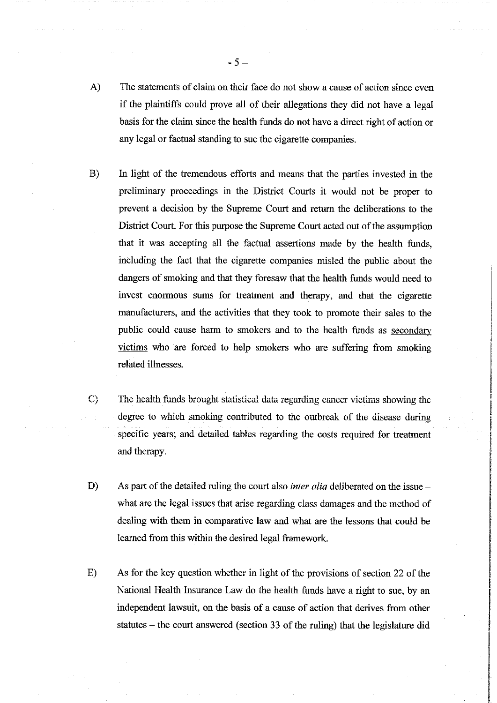- A) The statements of claim on their face do not show a cause of action since even if the plaintiffs could prove all of their allegations they did not have a legal basis for the claim since the health funds do not have a direct right of action or any legal or factual standing to sue the cigarette companies.
- $B)$ In light of the tremendous efforts and means that the parties invested in the preliminary proceedings in the District Courts it would not be proper to prevent a decision by the Supreme Court and return the deliberations to the District Court. For this purpose the Supreme Court acted out of the assumption that it was accepting all the factual assertions made by the health funds, including the fact that the cigarette companies misled the public about the dangers of smoking and that they foresaw that the health funds would need to invest enormous sums for treatment and therapy, and that the cigarette manufacturers, and the activities that they took to promote their sales to the public could cause harm to smokers and to the health funds as secondary victims who are forced to help smokers who are suffering from smoking related illnesses.
- $C)$ The health funds brought statistical data regarding cancer victims showing the degree to which smoking contributed to the outbreak of the disease during specific years; and detailed tables regarding the costs required for treatment and therapy.
- D) As part of the detailed ruling the court also *inter alia* deliberated on the issue – what are the legal issues that arise regarding class damages and the method of dealing with them in comparative law and what are the lessons that could be learned from this within the desired legal framework.
- $E)$ As for the key question whether in light of the provisions of section 22 of the National Health Insurance Law do the health funds have a right to sue, by an independent lawsuit, on the basis of a cause of action that derives from other statutes – the court answered (section 33 of the ruling) that the legislature did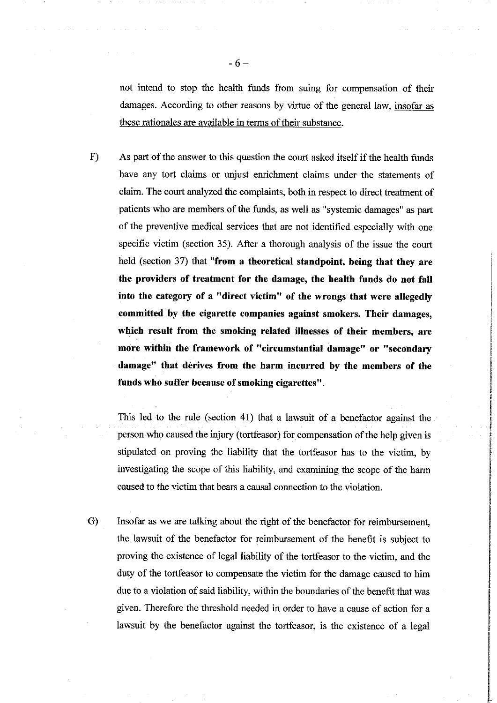not intend to stop the health funds from suing for compensation of their damages. According to other reasons by virtue of the general law, insofar as these rationales are available in terms of their substance.

 $F)$ As part of the answer to this question the court asked itself if the health funds have any tort claims or unjust enrichment claims under the statements of claim. The court analyzed the complaints, both in respect to direct treatment of patients who are members of the funds, as well as "systemic damages" as part of the preventive medical services that are not identified especially with one specific victim (section 35). After a thorough analysis of the issue the court held (section 37) that "from a theoretical standpoint, being that they are the providers of treatment for the damage, the health funds do not fall into the category of a "direct victim" of the wrongs that were allegedly committed by the cigarette companies against smokers. Their damages, which result from the smoking related illnesses of their members, are more within the framework of "circumstantial damage" or "secondary damage" that derives from the harm incurred by the members of the funds who suffer because of smoking cigarettes".

This led to the rule (section 41) that a lawsuit of a benefactor against the person who caused the injury (tortfeasor) for compensation of the help given is stipulated on proving the liability that the tortfeasor has to the victim, by investigating the scope of this liability, and examining the scope of the harm caused to the victim that bears a causal connection to the violation.

 $\mathrm{G}$ Insofar as we are talking about the right of the benefactor for reimbursement, the lawsuit of the benefactor for reimbursement of the benefit is subject to proving the existence of legal liability of the tortfeasor to the victim, and the duty of the tortfeasor to compensate the victim for the damage caused to him due to a violation of said liability, within the boundaries of the benefit that was given. Therefore the threshold needed in order to have a cause of action for a lawsuit by the benefactor against the tortfeasor, is the existence of a legal

 $-6-$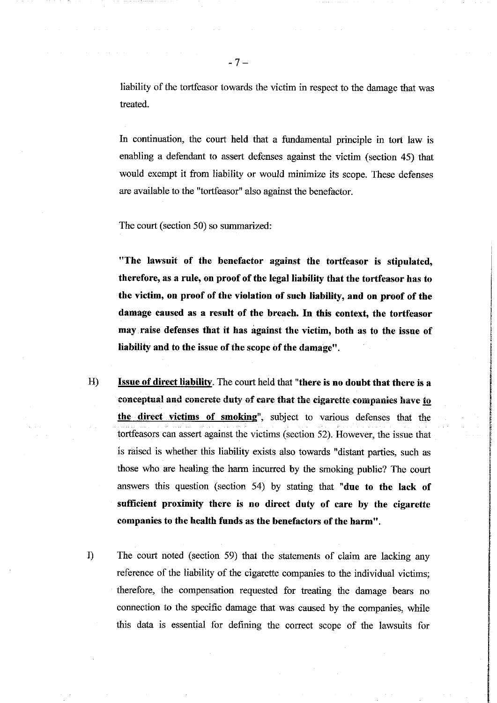liability of the tortfeasor towards the victim in respect to the damage that was treated.

In continuation, the court held that a fundamental principle in tort law is enabling a defendant to assert defenses against the victim (section 45) that would exempt it from liability or would minimize its scope. These defenses are available to the "tortfeasor" also against the benefactor.

The court (section 50) so summarized:

"The lawsuit of the benefactor against the tortfeasor is stipulated, therefore, as a rule, on proof of the legal liability that the tortfeasor has to the victim, on proof of the violation of such liability, and on proof of the damage caused as a result of the breach. In this context, the tortfeasor may raise defenses that it has against the victim, both as to the issue of liability and to the issue of the scope of the damage".

- $H$ Issue of direct liability. The court held that "there is no doubt that there is a conceptual and concrete duty of care that the cigarette companies have to the direct victims of smoking", subject to various defenses that the tortfeasors can assert against the victims (section 52). However, the issue that is raised is whether this liability exists also towards "distant parties, such as those who are healing the harm incurred by the smoking public? The court answers this question (section 54) by stating that "due to the lack of sufficient proximity there is no direct duty of care by the cigarette companies to the health funds as the benefactors of the harm".
- $I$ The court noted (section 59) that the statements of claim are lacking any reference of the liability of the cigarette companies to the individual victims; therefore, the compensation requested for treating the damage bears no connection to the specific damage that was caused by the companies, while this data is essential for defining the correct scope of the lawsuits for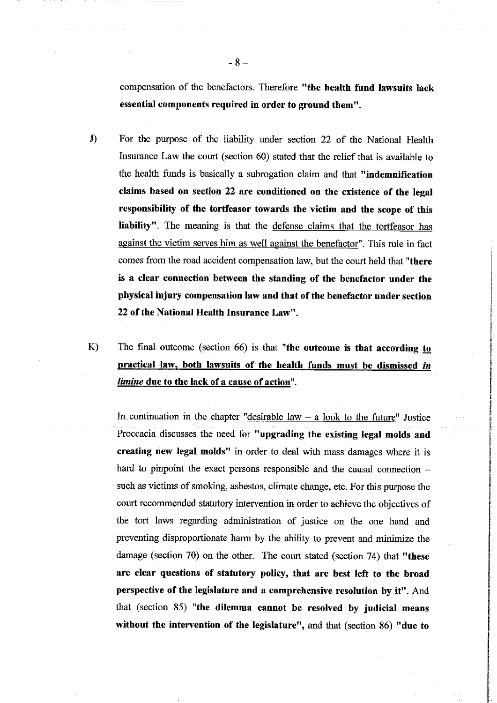compensation of the benefactors. Therefore "the health fund lawsuits lack essential components required in order to ground them".

- $J)$ For the purpose of the liability under section 22 of the National Health Insurance Law the court (section 60) stated that the relief that is available to the health funds is basically a subrogation claim and that "indemnification claims based on section 22 are conditioned on the existence of the legal responsibility of the tortfeasor towards the victim and the scope of this liability". The meaning is that the defense claims that the tortfeasor has against the victim serves him as well against the benefactor". This rule in fact comes from the road accident compensation law, but the court held that "there is a clear connection between the standing of the benefactor under the physical injury compensation law and that of the benefactor under section 22 of the National Health Insurance Law".
- $K$ The final outcome (section 66) is that "the outcome is that according to practical law, both lawsuits of the health funds must be dismissed in *limine* due to the lack of a cause of action".

In continuation in the chapter "desirable  $law - a$  look to the future" Justice Proceacia discusses the need for "upgrading the existing legal molds and creating new legal molds" in order to deal with mass damages where it is hard to pinpoint the exact persons responsible and the causal connection such as victims of smoking, asbestos, climate change, etc. For this purpose the court recommended statutory intervention in order to achieve the objectives of the tort laws regarding administration of justice on the one hand and preventing disproportionate harm by the ability to prevent and minimize the damage (section 70) on the other. The court stated (section 74) that "these are clear questions of statutory policy, that are best left to the broad perspective of the legislature and a comprehensive resolution by it". And that (section 85) "the dilemma cannot be resolved by judicial means without the intervention of the legislature", and that (section 86) "due to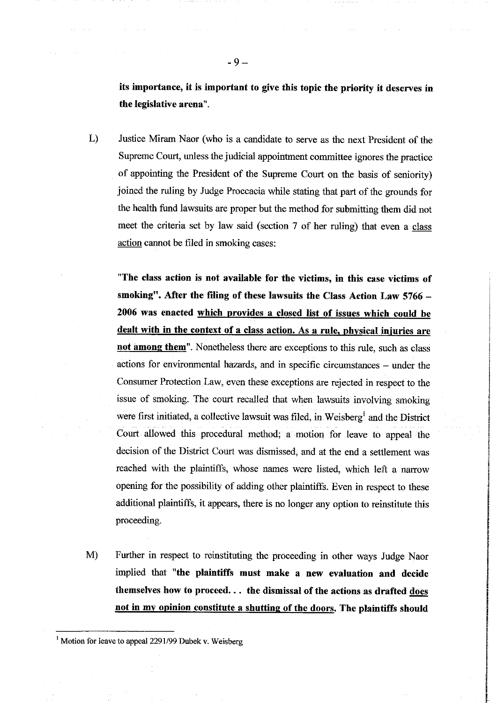its importance, it is important to give this topic the priority it deserves in the legislative arena".

 $L)$ Justice Miram Naor (who is a candidate to serve as the next President of the Supreme Court, unless the judicial appointment committee ignores the practice of appointing the President of the Supreme Court on the basis of seniority) joined the ruling by Judge Proccacia while stating that part of the grounds for the health fund lawsuits are proper but the method for submitting them did not meet the criteria set by law said (section 7 of her ruling) that even a class action cannot be filed in smoking cases:

"The class action is not available for the victims, in this case victims of smoking". After the filing of these lawsuits the Class Action Law 5766 -2006 was enacted which provides a closed list of issues which could be dealt with in the context of a class action. As a rule, physical injuries are not among them". Nonetheless there are exceptions to this rule, such as class actions for environmental hazards, and in specific circumstances – under the Consumer Protection Law, even these exceptions are rejected in respect to the issue of smoking. The court recalled that when lawsuits involving smoking were first initiated, a collective lawsuit was filed, in Weisberg<sup>1</sup> and the District Court allowed this procedural method; a motion for leave to appeal the decision of the District Court was dismissed, and at the end a settlement was reached with the plaintiffs, whose names were listed, which left a narrow opening for the possibility of adding other plaintiffs. Even in respect to these additional plaintiffs, it appears, there is no longer any option to reinstitute this proceeding.

M) Further in respect to reinstituting the proceeding in other ways Judge Naor implied that "the plaintiffs must make a new evaluation and decide themselves how to proceed... the dismissal of the actions as drafted does not in my opinion constitute a shutting of the doors. The plaintiffs should

<sup>&</sup>lt;sup>1</sup> Motion for leave to appeal 2291/99 Dubek v. Weisberg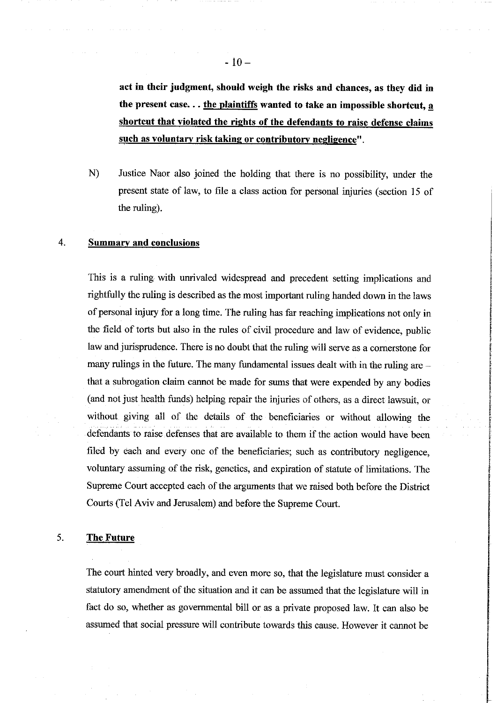act in their judgment, should weigh the risks and chances, as they did in the present case... the plaintiffs wanted to take an impossible shortcut, a shortcut that violated the rights of the defendants to raise defense claims such as voluntary risk taking or contributory negligence".

N) Justice Naor also joined the holding that there is no possibility, under the present state of law, to file a class action for personal injuries (section 15 of the ruling).

# 4. **Summary and conclusions**

This is a ruling with unrivaled widespread and precedent setting implications and rightfully the ruling is described as the most important ruling handed down in the laws of personal injury for a long time. The ruling has far reaching implications not only in the field of torts but also in the rules of civil procedure and law of evidence, public law and jurisprudence. There is no doubt that the ruling will serve as a cornerstone for many rulings in the future. The many fundamental issues dealt with in the ruling are that a subrogation claim cannot be made for sums that were expended by any bodies (and not just health funds) helping repair the injuries of others, as a direct lawsuit, or without giving all of the details of the beneficiaries or without allowing the defendants to raise defenses that are available to them if the action would have been filed by each and every one of the beneficiaries; such as contributory negligence, voluntary assuming of the risk, genetics, and expiration of statute of limitations. The Supreme Court accepted each of the arguments that we raised both before the District Courts (Tel Aviv and Jerusalem) and before the Supreme Court.

#### 5. **The Future**

The court hinted very broadly, and even more so, that the legislature must consider a statutory amendment of the situation and it can be assumed that the legislature will in fact do so, whether as governmental bill or as a private proposed law. It can also be assumed that social pressure will contribute towards this cause. However it cannot be